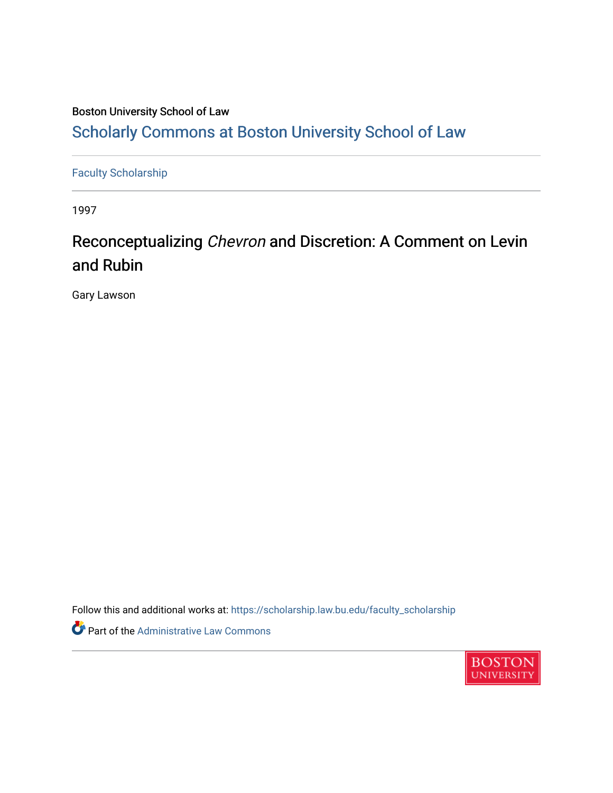## Boston University School of Law [Scholarly Commons at Boston University School of Law](https://scholarship.law.bu.edu/)

[Faculty Scholarship](https://scholarship.law.bu.edu/faculty_scholarship)

1997

# Reconceptualizing Chevron and Discretion: A Comment on Levin and Rubin

Gary Lawson

Follow this and additional works at: [https://scholarship.law.bu.edu/faculty\\_scholarship](https://scholarship.law.bu.edu/faculty_scholarship?utm_source=scholarship.law.bu.edu%2Ffaculty_scholarship%2F2681&utm_medium=PDF&utm_campaign=PDFCoverPages)

Part of the [Administrative Law Commons](https://network.bepress.com/hgg/discipline/579?utm_source=scholarship.law.bu.edu%2Ffaculty_scholarship%2F2681&utm_medium=PDF&utm_campaign=PDFCoverPages) 

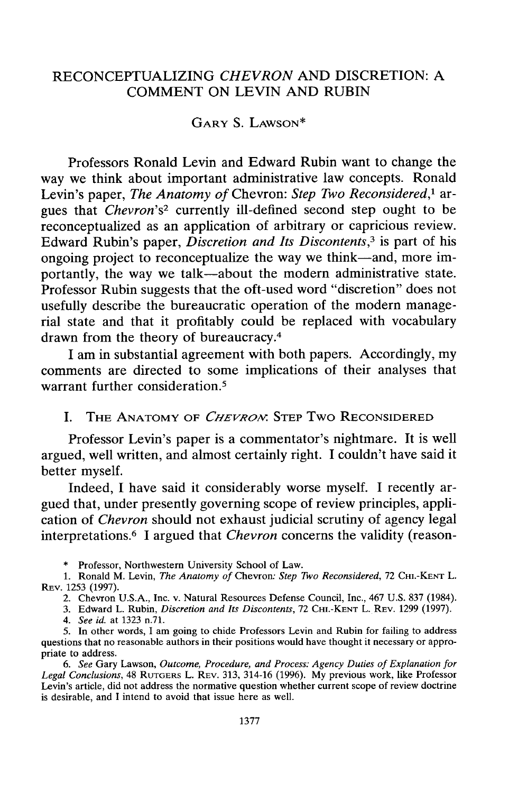### RECONCEPTUALIZING *CHEVRON* AND DISCRETION: A COMMENT ON LEVIN AND RUBIN

### GARY S. LAwsON\*

Professors Ronald Levin and Edward Rubin want to change the way we think about important administrative law concepts. Ronald Levin's paper, *The Anatomy of* Chevron: *Step Two Reconsidered,1* argues that *Chevron's2* currently ill-defined second step ought to be reconceptualized as an application of arbitrary or capricious review. Edward Rubin's paper, *Discretion and Its Discontents,3* is part of his ongoing project to reconceptualize the way we think-and, more importantly, the way we talk-about the modern administrative state. Professor Rubin suggests that the oft-used word "discretion" does not usefully describe the bureaucratic operation of the modern managerial state and that it profitably could be replaced with vocabulary drawn from the theory of bureaucracy.<sup>4</sup>

I am in substantial agreement with both papers. Accordingly, my comments are directed to some implications of their analyses that warrant further consideration.<sup>5</sup>

#### I. THE ANATOMY OF *CHEVROM.* STEP Two RECONSIDERED

Professor Levin's paper is a commentator's nightmare. It is well argued, well written, and almost certainly right. I couldn't have said it better myself.

Indeed, I have said it considerably worse myself. I recently argued that, under presently governing scope of review principles, application of *Chevron* should not exhaust judicial scrutiny of agency legal interpretations. 6 I argued that *Chevron* concerns the validity (reason-

\* Professor, Northwestern University School of Law.

1. Ronald M. Levin, *The Anatomy of* Chevron: *Step Two Reconsidered,* 72 **CHI.-KENT** L. REV. 1253 (1997).

2. Chevron U.S.A., Inc. v. Natural Resources Defense Council, Inc., 467 U.S. 837 (1984).

3. Edward L. Rubin, *Discretion and Its Discontents,* 72 **CHI.-KENT** L. REV. 1299 (1997).

*4. See id.* at 1323 n.71.

5. In other words, I am going to chide Professors Levin and Rubin for failing to address questions that no reasonable authors in their positions would have thought it necessary or appropriate to address.

*6. See* Gary Lawson, *Outcome, Procedure, and Process: Agency Duties of Explanation for Legal Conclusions,* 48 RUTGERS L. REV. 313, 314-16 (1996). My previous work, like Professor Levin's article, did not address the normative question whether current scope of review doctrine is desirable, and I intend to avoid that issue here as well.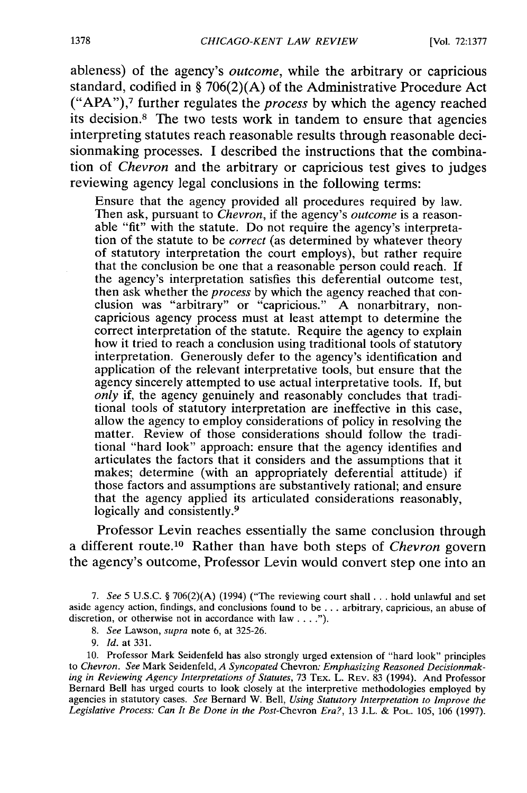ableness) of the agency's *outcome,* while the arbitrary or capricious standard, codified in § 706(2)(A) of the Administrative Procedure Act ("APA"),<sup>7</sup> further regulates the *process* by which the agency reached its decision.8 The two tests work in tandem to ensure that agencies interpreting statutes reach reasonable results through reasonable decisionmaking processes. I described the instructions that the combination of *Chevron* and the arbitrary or capricious test gives to judges reviewing agency legal conclusions in the following terms:

Ensure that the agency provided all procedures required by law. Then ask, pursuant to *Chevron*, if the agency's *outcome* is a reasonable "fit" with the statute. Do not require the agency's interpretation of the statute to be *correct* (as determined by whatever theory of statutory interpretation the court employs), but rather require that the conclusion be one that a reasonable person could reach. If the agency's interpretation satisfies this deferential outcome test, then ask whether the *process* by which the agency reached that conclusion was "arbitrary" or "capricious." A nonarbitrary, noncapricious agency process must at least attempt to determine the correct interpretation of the statute. Require the agency to explain<br>how it tried to reach a conclusion using traditional tools of statutory interpretation. Generously defer to the agency's identification and application of the relevant interpretative tools, but ensure that the agency sincerely attempted to use actual interpretative tools. If, but *only* if, the agency genuinely and reasonably concludes that traditional tools of statutory interpretation are ineffective in this case, allow the agency to employ considerations of policy in resolving the matter. Review of those considerations should follow the traditional "hard look" approach: ensure that the agency identifies and articulates the factors that it considers and the assumptions that it makes; determine (with an appropriately deferential attitude) if those factors and assumptions are substantively rational; and ensure that the agency applied its articulated considerations reasonably, logically and consistently. <sup>9</sup>

Professor Levin reaches essentially the same conclusion through a different route. 10 Rather than have both steps of *Chevron* govern the agency's outcome, Professor Levin would convert step one into an

*7. See* 5 U.S.C. § 706(2)(A) (1994) ("The reviewing court shall **...** hold unlawful and set aside agency action, findings, and conclusions found to be ... arbitrary, capricious, an abuse of discretion, or otherwise not in accordance with law . . . .").

9. *Id.* at 331.

10. Professor Mark Seidenfeld has also strongly urged extension of "hard look" principles to *Chevron. See* Mark Seidenfeld, *A Syncopated* Chevron: *Emphasizing Reasoned Decisionmaking in Reviewing Agency Interpretations of Statutes,* 73 TEX. L. **REV.** 83 (1994). And Professor Bernard Bell has urged courts to look closely at the interpretive methodologies employed by agencies in statutory cases. *See* Bernard W. Bell, *Using Statutory Interpretation to Improve the* Legislative Process: Can It Be Done in the Post-Chevron Era?, 13 J.L. & PoL. 105, 106 (1997).

*<sup>8.</sup> See* Lawson, *supra* note 6, at 325-26.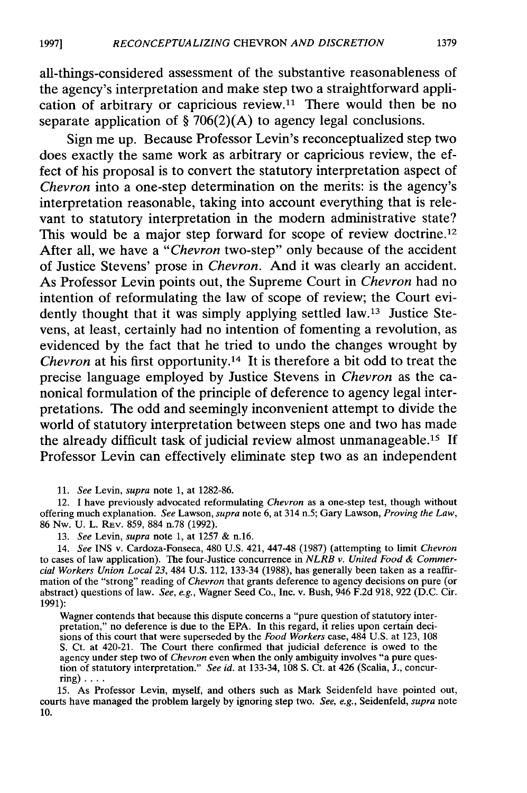all-things-considered assessment of the substantive reasonableness of the agency's interpretation and make step two a straightforward application of arbitrary or capricious review.11 There would then be no separate application of **§ 706(2)(A)** to agency legal conclusions.

Sign me up. Because Professor Levin's reconceptualized step two does exactly the same work as arbitrary or capricious review, the effect of his proposal is to convert the statutory interpretation aspect of *Chevron* into a one-step determination on the merits: is the agency's interpretation reasonable, taking into account everything that is relevant to statutory interpretation in the modern administrative state? This would be a major step forward for scope of review doctrine.<sup>12</sup> After all, we have a *"Chevron* two-step" only because of the accident of Justice Stevens' prose in *Chevron.* And it was clearly an accident. As Professor Levin points out, the Supreme Court in *Chevron* had no intention of reformulating the law of scope of review; the Court evidently thought that it was simply applying settled law.<sup>13</sup> Justice Stevens, at least, certainly had no intention of fomenting a revolution, as evidenced **by** the fact that he tried to undo the changes wrought **by** *Chevron* at his first opportunity.14 It is therefore a bit odd to treat the precise language employed **by** Justice Stevens in *Chevron* as the canonical formulation of the principle of deference to agency legal interpretations. The odd and seemingly inconvenient attempt to divide the world of statutory interpretation between steps one and two has made the already difficult task of judicial review almost unmanageable. <sup>15</sup>**If** Professor Levin can effectively eliminate step two as an independent

12. I have previously advocated reformulating *Chevron* as a one-step test, though without offering much explanation. *See* Lawson, *supra* note **6,** at 314 n.5; Gary Lawson, *Proving the Law,* 86 Nw. U. L. REV. 859, 884 n.78 (1992).

13. *See* Levin, *supra* note **1,** at 1257 & n.16.

14. *See* INS v. Cardoza-Fonseca, 480 U.S. 421, 447-48 (1987) (attempting to limit *Chevron* to cases of law application). The four-Justice concurrence in *NLRB v. United Food & Commercial Workers Union Local 23,* 484 U.S. 112, 133-34 (1988), has generally been taken as a reaffirmation of the "strong" reading of *Chevron* that grants deference to agency decisions on pure (or abstract) questions of law. *See, e.g.,* Wagner Seed Co., Inc. v. Bush, 946 F.2d 918, 922 (D.C. Cir. 1991):

Wagner contends that because this dispute concerns a "pure question of statutory interpretation," no deference is due to the EPA. In this regard, it relies upon certain decisions of this court that were superseded **by** the *Food Workers* case, 484 U.S. at 123, **108** S. Ct. at 420-21. The Court there confirmed that judicial deference is owed to the agency under step two of *Chevron* even when the only ambiguity involves "a pure question of statutory interpretation." *See id.* at 133-34, **108 S.** Ct. at 426 (Scalia, J., concurring)  $\ldots$ .

15. As Professor Levin, myself, and others such as Mark Seidenfeld have pointed out, courts have managed the problem largely **by** ignoring step two. *See, e.g.,* Seidenfeld, *supra* note **10.**

<sup>11.</sup> *See* Levin, *supra* note **1,** at 1282-86.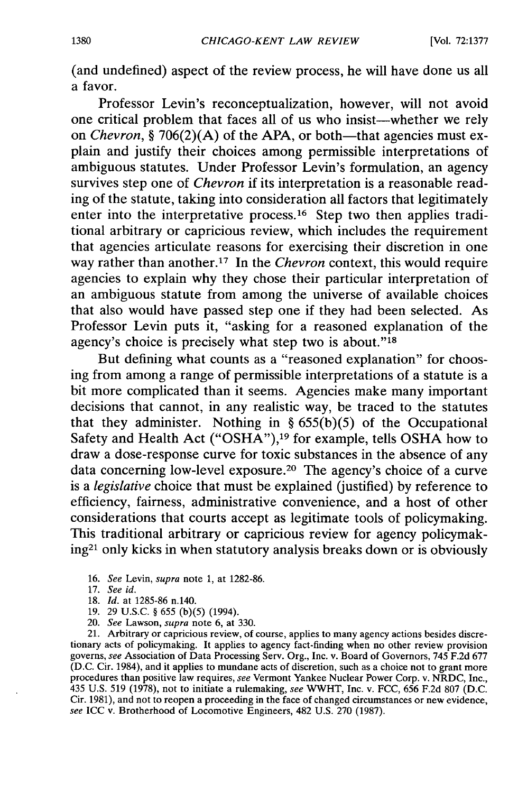(and undefined) aspect of the review process, he will have done us all a favor.

Professor Levin's reconceptualization, however, will not avoid one critical problem that faces all of us who insist-whether we rely on *Chevron*, § 706(2)(A) of the APA, or both—that agencies must explain and justify their choices among permissible interpretations of ambiguous statutes. Under Professor Levin's formulation, an agency survives step one of *Chevron* if its interpretation is a reasonable reading of the statute, taking into consideration all factors that legitimately enter into the interpretative process.<sup>16</sup> Step two then applies traditional arbitrary or capricious review, which includes the requirement that agencies articulate reasons for exercising their discretion in one way rather than another.17 In the *Chevron* context, this would require agencies to explain why they chose their particular interpretation of an ambiguous statute from among the universe of available choices that also would have passed step one if they had been selected. As Professor Levin puts it, "asking for a reasoned explanation of the agency's choice is precisely what step two is about."<sup>18</sup>

But defining what counts as a "reasoned explanation" for choosing from among a range of permissible interpretations of a statute is a bit more complicated than it seems. Agencies make many important decisions that cannot, in any realistic way, be traced to the statutes that they administer. Nothing in *§* 655(b)(5) of the Occupational Safety and Health Act ("OSHA"), 19 for example, tells OSHA how to draw a dose-response curve for toxic substances in the absence of any data concerning low-level exposure.20 The agency's choice of a curve is a *legislative* choice that must be explained (justified) by reference to efficiency, fairness, administrative convenience, and a host of other considerations that courts accept as legitimate tools of policymaking. This traditional arbitrary or capricious review for agency policymaking2' only kicks in when statutory analysis breaks down or is obviously

21. Arbitrary or capricious review, of course, applies to many agency actions besides discretionary acts of policymaking. It applies to agency fact-finding when no other review provision governs, *see* Association of Data Processing Serv. Org., Inc. v. Board of Governors, 745 F.2d 677 (D.C. Cir. 1984), and it applies to mundane acts of discretion, such as a choice not to grant more procedures than positive law requires, *see* Vermont Yankee Nuclear Power Corp. v. NRDC, Inc., 435 U.S. 519 (1978), not to initiate a rulemaking, *see* WWHT, Inc. v. FCC, 656 F.2d 807 (D.C. Cir. 1981), and not to reopen a proceeding in the face of changed circumstances or new evidence, *see* ICC v. Brotherhood of Locomotive Engineers, 482 U.S. 270 (1987).

<sup>16.</sup> *See Levin, supra* note 1, at 1282-86.

<sup>17.</sup> *See id.*

<sup>18.</sup> *Id.* at 1285-86 n.140.

<sup>19. 29</sup> U.S.C. § 655 (b)(5) (1994).

<sup>20.</sup> *See* Lawson, *supra* note 6, at 330.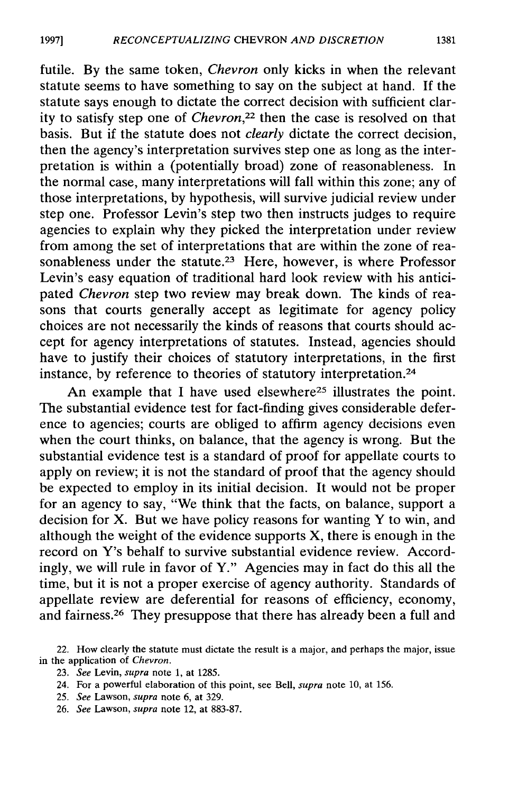futile. By the same token, *Chevron* only kicks in when the relevant statute seems to have something to say on the subject at hand. If the statute says enough to dictate the correct decision with sufficient clarity to satisfy step one of *Chevron,22* then the case is resolved on that basis. But if the statute does not *clearly* dictate the correct decision, then the agency's interpretation survives step one as long as the interpretation is within a (potentially broad) zone of reasonableness. In the normal case, many interpretations will fall within this zone; any of those interpretations, by hypothesis, will survive judicial review under step one. Professor Levin's step two then instructs judges to require agencies to explain why they picked the interpretation under review from among the set of interpretations that are within the zone of reasonableness under the statute.<sup>23</sup> Here, however, is where Professor Levin's easy equation of traditional hard look review with his anticipated *Chevron* step two review may break down. The kinds of reasons that courts generally accept as legitimate for agency policy choices are not necessarily the kinds of reasons that courts should accept for agency interpretations of statutes. Instead, agencies should have to justify their choices of statutory interpretations, in the first instance, by reference to theories of statutory interpretation. <sup>24</sup>

An example that I have used elsewhere<sup>25</sup> illustrates the point. The substantial evidence test for fact-finding gives considerable deference to agencies; courts are obliged to affirm agency decisions even when the court thinks, on balance, that the agency is wrong. But the substantial evidence test is a standard of proof for appellate courts to apply on review; it is not the standard of proof that the agency should be expected to employ in its initial decision. It would not be proper for an agency to say, "We think that the facts, on balance, support a decision for X. But we have policy reasons for wanting Y to win, and although the weight of the evidence supports  $X$ , there is enough in the record on Y's behalf to survive substantial evidence review. Accordingly, we will rule in favor of Y." Agencies may in fact do this all the time, but it is not a proper exercise of agency authority. Standards of appellate review are deferential for reasons of efficiency, economy, and fairness.<sup>26</sup> They presuppose that there has already been a full and

- 23. *See* Levin, supra note 1, at 1285.
- 24. For a powerful elaboration of this point, see Bell, *supra* note 10, at 156.
- 25. *See* Lawson, *supra* note 6, at 329.
- 26. *See* Lawson, *supra* note 12, at 883-87.

<sup>22.</sup> How clearly the statute must dictate the result is a major, and perhaps the major, issue in the application of *Chevron.*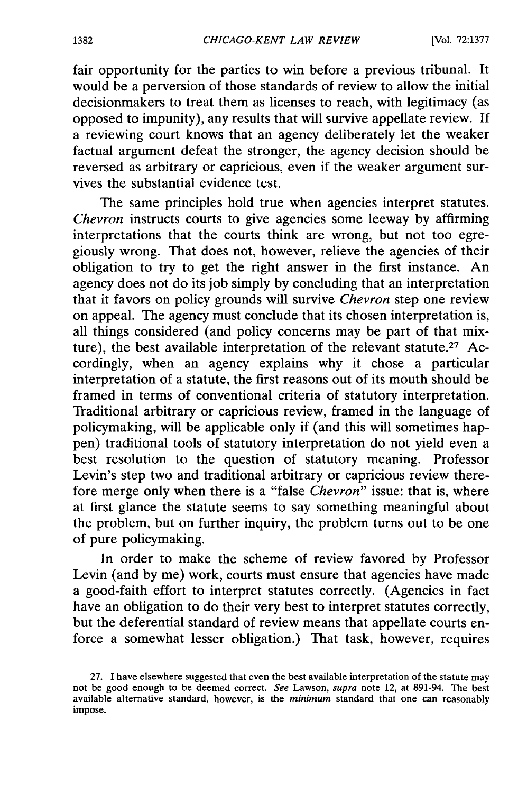fair opportunity for the parties to win before a previous tribunal. It would be a perversion of those standards of review to allow the initial decisionmakers to treat them as licenses to reach, with legitimacy (as opposed to impunity), any results that will survive appellate review. If a reviewing court knows that an agency deliberately let the weaker factual argument defeat the stronger, the agency decision should be reversed as arbitrary or capricious, even if the weaker argument survives the substantial evidence test.

The same principles hold true when agencies interpret statutes. *Chevron* instructs courts to give agencies some leeway by affirming interpretations that the courts think are wrong, but not too egregiously wrong. That does not, however, relieve the agencies of their obligation to try to get the right answer in the first instance. An agency does not do its job simply by concluding that an interpretation that it favors on policy grounds will survive *Chevron* step one review on appeal. The agency must conclude that its chosen interpretation is, all things considered (and policy concerns may be part of that mixture), the best available interpretation of the relevant statute.<sup>27</sup> Accordingly, when an agency explains why it chose a particular interpretation of a statute, the first reasons out of its mouth should be framed in terms of conventional criteria of statutory interpretation. Traditional arbitrary or capricious review, framed in the language of policymaking, will be applicable only if (and this will sometimes happen) traditional tools of statutory interpretation do not yield even a best resolution to the question of statutory meaning. Professor Levin's step two and traditional arbitrary or capricious review therefore merge only when there is a "false *Chevron"* issue: that is, where at first glance the statute seems to say something meaningful about the problem, but on further inquiry, the problem turns out to be one of pure policymaking.

In order to make the scheme of review favored by Professor Levin (and by me) work, courts must ensure that agencies have made a good-faith effort to interpret statutes correctly. (Agencies in fact have an obligation to do their very best to interpret statutes correctly, but the deferential standard of review means that appellate courts enforce a somewhat lesser obligation.) That task, however, requires

<sup>27.</sup> I have elsewhere suggested that even the best available interpretation of the statute may not be good enough to be deemed correct. *See* Lawson, *supra* note 12, at 891-94. The best available alternative standard, however, is the *minimum* standard that one can reasonably impose.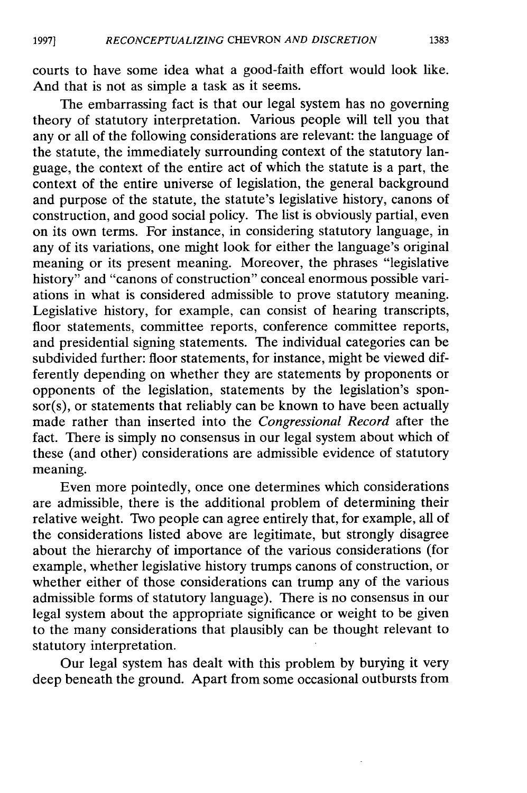courts to have some idea what a good-faith effort would look like. And that is not as simple a task as it seems.

The embarrassing fact is that our legal system has no governing theory of statutory interpretation. Various people will tell you that any or all of the following considerations are relevant: the language of the statute, the immediately surrounding context of the statutory language, the context of the entire act of which the statute is a part, the context of the entire universe of legislation, the general background and purpose of the statute, the statute's legislative history, canons of construction, and good social policy. The list is obviously partial, even on its own terms. For instance, in considering statutory language, in any of its variations, one might look for either the language's original meaning or its present meaning. Moreover, the phrases "legislative history" and "canons of construction" conceal enormous possible variations in what is considered admissible to prove statutory meaning. Legislative history, for example, can consist of hearing transcripts, floor statements, committee reports, conference committee reports, and presidential signing statements. The individual categories can be subdivided further: floor statements, for instance, might be viewed differently depending on whether they are statements by proponents or opponents of the legislation, statements by the legislation's sponsor(s), or statements that reliably can be known to have been actually made rather than inserted into the *Congressional Record* after the fact. There is simply no consensus in our legal system about which of these (and other) considerations are admissible evidence of statutory meaning.

Even more pointedly, once one determines which considerations are admissible, there is the additional problem of determining their relative weight. Two people can agree entirely that, for example, all of the considerations listed above are legitimate, but strongly disagree about the hierarchy of importance of the various considerations (for example, whether legislative history trumps canons of construction, or whether either of those considerations can trump any of the various admissible forms of statutory language). There is no consensus in our legal system about the appropriate significance or weight to be given to the many considerations that plausibly can be thought relevant to statutory interpretation.

Our legal system has dealt with this problem by burying it very deep beneath the ground. Apart from some occasional outbursts from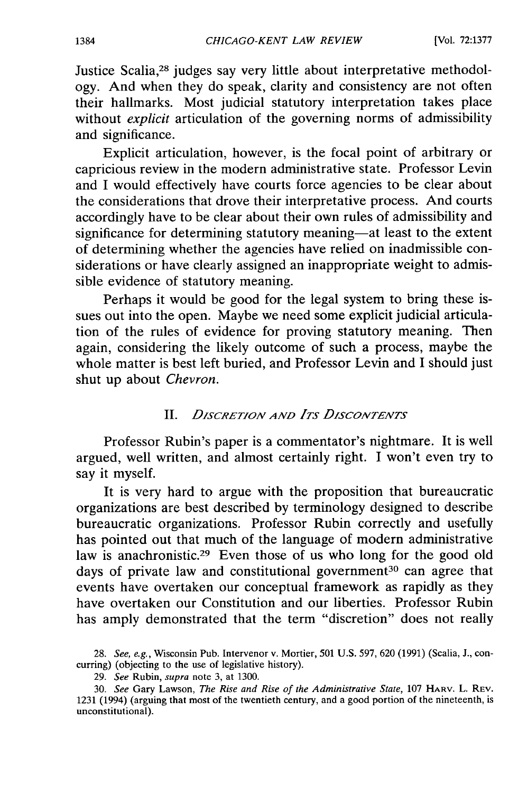Justice Scalia,28 judges say very little about interpretative methodology. And when they do speak, clarity and consistency are not often their hallmarks. Most judicial statutory interpretation takes place without *explicit* articulation of the governing norms of admissibility and significance.

Explicit articulation, however, is the focal point of arbitrary or capricious review in the modern administrative state. Professor Levin and I would effectively have courts force agencies to be clear about the considerations that drove their interpretative process. And courts accordingly have to be clear about their own rules of admissibility and significance for determining statutory meaning—at least to the extent of determining whether the agencies have relied on inadmissible considerations or have clearly assigned an inappropriate weight to admissible evidence of statutory meaning.

Perhaps it would be good for the legal system to bring these issues out into the open. Maybe we need some explicit judicial articulation of the rules of evidence for proving statutory meaning. Then again, considering the likely outcome of such a process, maybe the whole matter is best left buried, and Professor Levin and I should just shut up about *Chevron.*

#### II. *DISCRETION AND ITS DISCONTENTS*

Professor Rubin's paper is a commentator's nightmare. It is well argued, well written, and almost certainly right. I won't even try to say it myself.

It is very hard to argue with the proposition that bureaucratic organizations are best described by terminology designed to describe bureaucratic organizations. Professor Rubin correctly and usefully has pointed out that much of the language of modern administrative law is anachronistic.<sup>29</sup> Even those of us who long for the good old days of private law and constitutional government<sup>30</sup> can agree that events have overtaken our conceptual framework as rapidly as they have overtaken our Constitution and our liberties. Professor Rubin has amply demonstrated that the term "discretion" does not really

<sup>28.</sup> See, e.g., Wisconsin Pub. Intervenor v. Mortier, 501 U.S. 597, 620 (1991) (Scalia, J., concurring) (objecting to the use of legislative history).

<sup>29.</sup> *See* Rubin, *supra* note 3, at 1300.

<sup>30.</sup> *See* Gary Lawson, *The Rise and Rise of the Administrative State,* 107 HARV. L. REV. 1231 (1994) (arguing that most of the twentieth century, and a good portion of the nineteenth, is unconstitutional).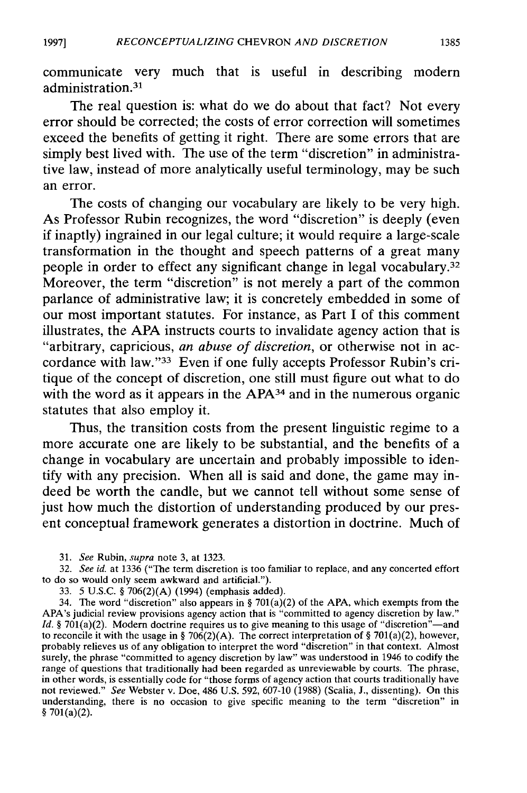communicate very much that is useful in describing modern administration.<sup>31</sup>

The real question is: what do we do about that fact? Not every error should be corrected; the costs of error correction will sometimes exceed the benefits of getting it right. There are some errors that are simply best lived with. The use of the term "discretion" in administrative law, instead of more analytically useful terminology, may be such an error.

The costs of changing our vocabulary are likely to be very high. As Professor Rubin recognizes, the word "discretion" is deeply (even if inaptly) ingrained in our legal culture; it would require a large-scale transformation in the thought and speech patterns of a great many people in order to effect any significant change in legal vocabulary.<sup>32</sup> Moreover, the term "discretion" is not merely a part of the common parlance of administrative law; it is concretely embedded in some of our most important statutes. For instance, as Part **I** of this comment illustrates, the **APA** instructs courts to invalidate agency action that is "arbitrary, capricious, *an abuse of discretion,* or otherwise not in accordance with law."<sup>33</sup> Even if one fully accepts Professor Rubin's critique of the concept of discretion, one still must figure out what to do with the word as it appears in the APA<sup>34</sup> and in the numerous organic statutes that also employ it.

Thus, the transition costs from the present linguistic regime to a more accurate one are likely to be substantial, and the benefits of a change in vocabulary are uncertain and probably impossible to identify with any precision. When all is said and done, the game may indeed be worth the candle, but we cannot tell without some sense of just how much the distortion of understanding produced **by** our present conceptual framework generates a distortion in doctrine. Much of

31. *See* Rubin, *supra* note **3,** at 1323.

32. *See id.* at 1336 ("The term discretion is too familiar to replace, and any concerted effort to do so would only seem awkward and artificial.").

33. 5 U.S.C. **§** 706(2)(A) (1994) (emphasis added).

34. The word "discretion" also appears in **§** 701(a)(2) of the **APA,** which exempts from the APA's judicial review provisions agency action that is "committed to agency discretion **by** law." *Id.* § 701(a)(2). Modern doctrine requires us to give meaning to this usage of "discretion"—and to reconcile it with the usage in **§** 706(2)(A). The correct interpretation of **§** 701(a)(2), however, probably relieves us of any obligation to interpret the word "discretion" in that context. Almost surely, the phrase "committed to agency discretion **by** law" was understood in 1946 to codify the range of questions that traditionally had been regarded as unreviewable **by** courts. The phrase, in other words, is essentially code for "those forms of agency action that courts traditionally have not reviewed." *See* Webster v. Doe, 486 U.S. 592, 607-10 (1988) (Scalia, J., dissenting). On this understanding, there is no occasion to give specific meaning to the term "discretion" in **§** 701(a)(2).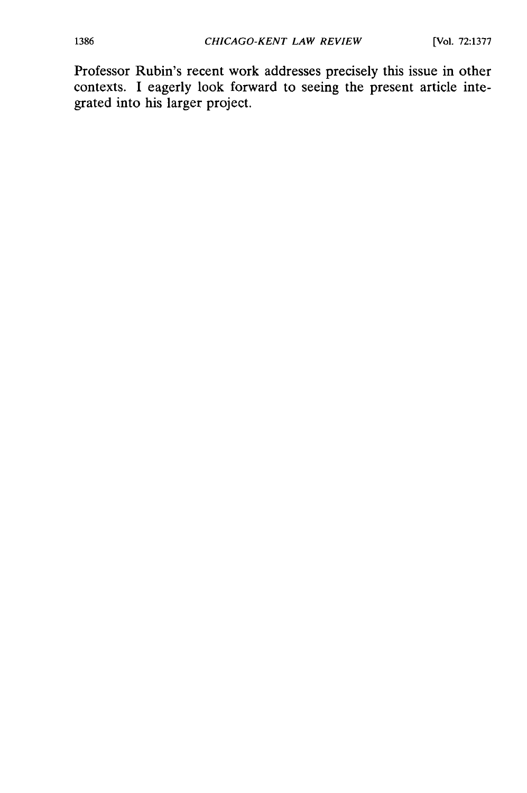Professor Rubin's recent work addresses precisely this issue in other contexts. I eagerly look forward to seeing the present article integrated into his larger project.